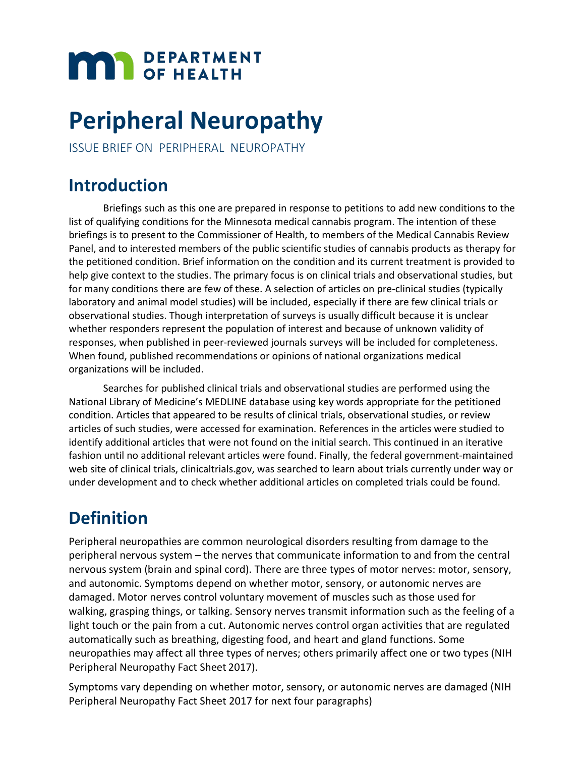# **MAR** DEPARTMENT

## **Peripheral Neuropathy**

ISSUE BRIEF ON PERIPHERAL NEUROPATHY

### **Introduction**

Briefings such as this one are prepared in response to petitions to add new conditions to the list of qualifying conditions for the Minnesota medical cannabis program. The intention of these briefings is to present to the Commissioner of Health, to members of the Medical Cannabis Review Panel, and to interested members of the public scientific studies of cannabis products as therapy for the petitioned condition. Brief information on the condition and its current treatment is provided to help give context to the studies. The primary focus is on clinical trials and observational studies, but for many conditions there are few of these. A selection of articles on pre-clinical studies (typically laboratory and animal model studies) will be included, especially if there are few clinical trials or observational studies. Though interpretation of surveys is usually difficult because it is unclear whether responders represent the population of interest and because of unknown validity of responses, when published in peer-reviewed journals surveys will be included for completeness. When found, published recommendations or opinions of national organizations medical organizations will be included.

Searches for published clinical trials and observational studies are performed using the National Library of Medicine's MEDLINE database using key words appropriate for the petitioned condition. Articles that appeared to be results of clinical trials, observational studies, or review articles of such studies, were accessed for examination. References in the articles were studied to identify additional articles that were not found on the initial search. This continued in an iterative fashion until no additional relevant articles were found. Finally, the federal government-maintained web site of clinical trials, clinicaltrials.gov, was searched to learn about trials currently under way or under development and to check whether additional articles on completed trials could be found.

### **Definition**

Peripheral neuropathies are common neurological disorders resulting from damage to the peripheral nervous system – the nerves that communicate information to and from the central nervous system (brain and spinal cord). There are three types of motor nerves: motor, sensory, and autonomic. Symptoms depend on whether motor, sensory, or autonomic nerves are damaged. Motor nerves control voluntary movement of muscles such as those used for walking, grasping things, or talking. Sensory nerves transmit information such as the feeling of a light touch or the pain from a cut. Autonomic nerves control organ activities that are regulated automatically such as breathing, digesting food, and heart and gland functions. Some neuropathies may affect all three types of nerves; others primarily affect one or two types (NIH Peripheral Neuropathy Fact Sheet 2017).

Symptoms vary depending on whether motor, sensory, or autonomic nerves are damaged (NIH Peripheral Neuropathy Fact Sheet 2017 for next four paragraphs)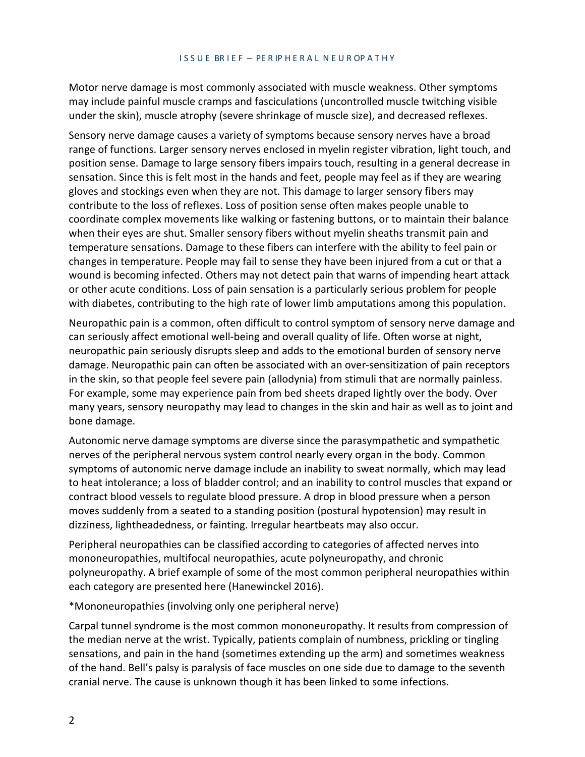Motor nerve damage is most commonly associated with muscle weakness. Other symptoms may include painful muscle cramps and fasciculations (uncontrolled muscle twitching visible under the skin), muscle atrophy (severe shrinkage of muscle size), and decreased reflexes.

Sensory nerve damage causes a variety of symptoms because sensory nerves have a broad range of functions. Larger sensory nerves enclosed in myelin register vibration, light touch, and position sense. Damage to large sensory fibers impairs touch, resulting in a general decrease in sensation. Since this is felt most in the hands and feet, people may feel as if they are wearing gloves and stockings even when they are not. This damage to larger sensory fibers may contribute to the loss of reflexes. Loss of position sense often makes people unable to coordinate complex movements like walking or fastening buttons, or to maintain their balance when their eyes are shut. Smaller sensory fibers without myelin sheaths transmit pain and temperature sensations. Damage to these fibers can interfere with the ability to feel pain or changes in temperature. People may fail to sense they have been injured from a cut or that a wound is becoming infected. Others may not detect pain that warns of impending heart attack or other acute conditions. Loss of pain sensation is a particularly serious problem for people with diabetes, contributing to the high rate of lower limb amputations among this population.

Neuropathic pain is a common, often difficult to control symptom of sensory nerve damage and can seriously affect emotional well-being and overall quality of life. Often worse at night, neuropathic pain seriously disrupts sleep and adds to the emotional burden of sensory nerve damage. Neuropathic pain can often be associated with an over-sensitization of pain receptors in the skin, so that people feel severe pain (allodynia) from stimuli that are normally painless. For example, some may experience pain from bed sheets draped lightly over the body. Over many years, sensory neuropathy may lead to changes in the skin and hair as well as to joint and bone damage.

Autonomic nerve damage symptoms are diverse since the parasympathetic and sympathetic nerves of the peripheral nervous system control nearly every organ in the body. Common symptoms of autonomic nerve damage include an inability to sweat normally, which may lead to heat intolerance; a loss of bladder control; and an inability to control muscles that expand or contract blood vessels to regulate blood pressure. A drop in blood pressure when a person moves suddenly from a seated to a standing position (postural hypotension) may result in dizziness, lightheadedness, or fainting. Irregular heartbeats may also occur.

Peripheral neuropathies can be classified according to categories of affected nerves into mononeuropathies, multifocal neuropathies, acute polyneuropathy, and chronic polyneuropathy. A brief example of some of the most common peripheral neuropathies within each category are presented here (Hanewinckel 2016).

\*Mononeuropathies (involving only one peripheral nerve)

Carpal tunnel syndrome is the most common mononeuropathy. It results from compression of the median nerve at the wrist. Typically, patients complain of numbness, prickling or tingling sensations, and pain in the hand (sometimes extending up the arm) and sometimes weakness of the hand. Bell's palsy is paralysis of face muscles on one side due to damage to the seventh cranial nerve. The cause is unknown though it has been linked to some infections.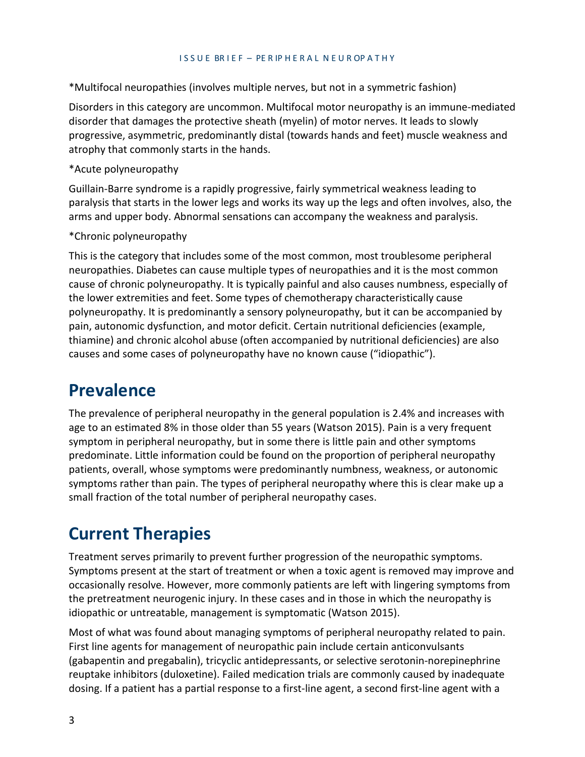\*Multifocal neuropathies (involves multiple nerves, but not in a symmetric fashion)

Disorders in this category are uncommon. Multifocal motor neuropathy is an immune-mediated disorder that damages the protective sheath (myelin) of motor nerves. It leads to slowly progressive, asymmetric, predominantly distal (towards hands and feet) muscle weakness and atrophy that commonly starts in the hands.

#### \*Acute polyneuropathy

Guillain-Barre syndrome is a rapidly progressive, fairly symmetrical weakness leading to paralysis that starts in the lower legs and works its way up the legs and often involves, also, the arms and upper body. Abnormal sensations can accompany the weakness and paralysis.

#### \*Chronic polyneuropathy

This is the category that includes some of the most common, most troublesome peripheral neuropathies. Diabetes can cause multiple types of neuropathies and it is the most common cause of chronic polyneuropathy. It is typically painful and also causes numbness, especially of the lower extremities and feet. Some types of chemotherapy characteristically cause polyneuropathy. It is predominantly a sensory polyneuropathy, but it can be accompanied by pain, autonomic dysfunction, and motor deficit. Certain nutritional deficiencies (example, thiamine) and chronic alcohol abuse (often accompanied by nutritional deficiencies) are also causes and some cases of polyneuropathy have no known cause ("idiopathic").

### **Prevalence**

The prevalence of peripheral neuropathy in the general population is 2.4% and increases with age to an estimated 8% in those older than 55 years (Watson 2015). Pain is a very frequent symptom in peripheral neuropathy, but in some there is little pain and other symptoms predominate. Little information could be found on the proportion of peripheral neuropathy patients, overall, whose symptoms were predominantly numbness, weakness, or autonomic symptoms rather than pain. The types of peripheral neuropathy where this is clear make up a small fraction of the total number of peripheral neuropathy cases.

### **Current Therapies**

Treatment serves primarily to prevent further progression of the neuropathic symptoms. Symptoms present at the start of treatment or when a toxic agent is removed may improve and occasionally resolve. However, more commonly patients are left with lingering symptoms from the pretreatment neurogenic injury. In these cases and in those in which the neuropathy is idiopathic or untreatable, management is symptomatic (Watson 2015).

Most of what was found about managing symptoms of peripheral neuropathy related to pain. First line agents for management of neuropathic pain include certain anticonvulsants (gabapentin and pregabalin), tricyclic antidepressants, or selective serotonin-norepinephrine reuptake inhibitors (duloxetine). Failed medication trials are commonly caused by inadequate dosing. If a patient has a partial response to a first-line agent, a second first-line agent with a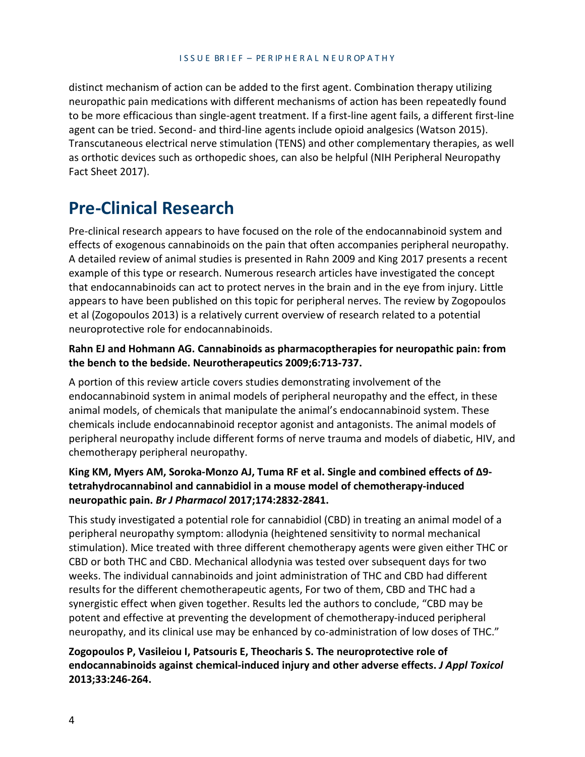distinct mechanism of action can be added to the first agent. Combination therapy utilizing neuropathic pain medications with different mechanisms of action has been repeatedly found to be more efficacious than single-agent treatment. If a first-line agent fails, a different first-line agent can be tried. Second- and third-line agents include opioid analgesics (Watson 2015). Transcutaneous electrical nerve stimulation (TENS) and other complementary therapies, as well as orthotic devices such as orthopedic shoes, can also be helpful (NIH Peripheral Neuropathy Fact Sheet 2017).

### **Pre-Clinical Research**

Pre-clinical research appears to have focused on the role of the endocannabinoid system and effects of exogenous cannabinoids on the pain that often accompanies peripheral neuropathy. A detailed review of animal studies is presented in Rahn 2009 and King 2017 presents a recent example of this type or research. Numerous research articles have investigated the concept that endocannabinoids can act to protect nerves in the brain and in the eye from injury. Little appears to have been published on this topic for peripheral nerves. The review by Zogopoulos et al (Zogopoulos 2013) is a relatively current overview of research related to a potential neuroprotective role for endocannabinoids.

#### **Rahn EJ and Hohmann AG. Cannabinoids as pharmacoptherapies for neuropathic pain: from the bench to the bedside. Neurotherapeutics 2009;6:713-737.**

A portion of this review article covers studies demonstrating involvement of the endocannabinoid system in animal models of peripheral neuropathy and the effect, in these animal models, of chemicals that manipulate the animal's endocannabinoid system. These chemicals include endocannabinoid receptor agonist and antagonists. The animal models of peripheral neuropathy include different forms of nerve trauma and models of diabetic, HIV, and chemotherapy peripheral neuropathy.

#### **King KM, Myers AM, Soroka-Monzo AJ, Tuma RF et al. Single and combined effects of Δ9 tetrahydrocannabinol and cannabidiol in a mouse model of chemotherapy-induced neuropathic pain.** *Br J Pharmacol* **2017;174:2832-2841.**

This study investigated a potential role for cannabidiol (CBD) in treating an animal model of a peripheral neuropathy symptom: allodynia (heightened sensitivity to normal mechanical stimulation). Mice treated with three different chemotherapy agents were given either THC or CBD or both THC and CBD. Mechanical allodynia was tested over subsequent days for two weeks. The individual cannabinoids and joint administration of THC and CBD had different results for the different chemotherapeutic agents, For two of them, CBD and THC had a synergistic effect when given together. Results led the authors to conclude, "CBD may be potent and effective at preventing the development of chemotherapy-induced peripheral neuropathy, and its clinical use may be enhanced by co-administration of low doses of THC."

#### **Zogopoulos P, Vasileiou I, Patsouris E, Theocharis S. The neuroprotective role of endocannabinoids against chemical-induced injury and other adverse effects.** *J Appl Toxicol*  **2013;33:246-264.**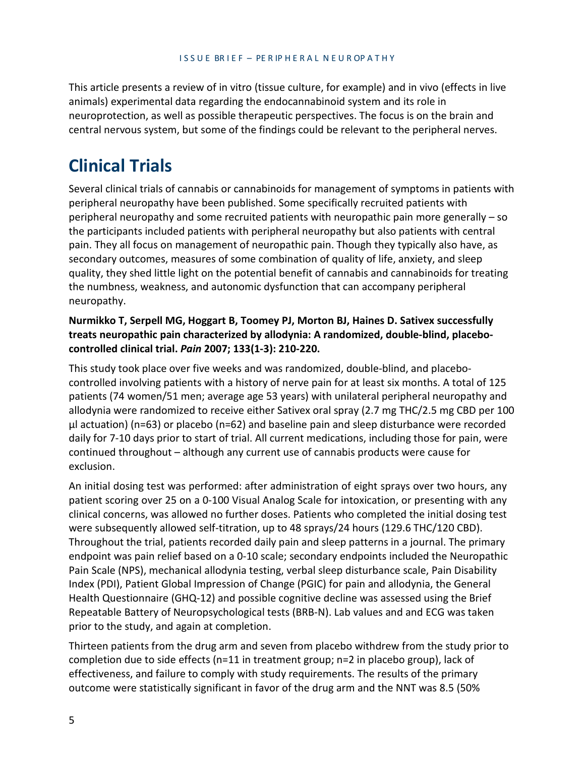This article presents a review of in vitro (tissue culture, for example) and in vivo (effects in live animals) experimental data regarding the endocannabinoid system and its role in neuroprotection, as well as possible therapeutic perspectives. The focus is on the brain and central nervous system, but some of the findings could be relevant to the peripheral nerves.

### **Clinical Trials**

Several clinical trials of cannabis or cannabinoids for management of symptoms in patients with peripheral neuropathy have been published. Some specifically recruited patients with peripheral neuropathy and some recruited patients with neuropathic pain more generally – so the participants included patients with peripheral neuropathy but also patients with central pain. They all focus on management of neuropathic pain. Though they typically also have, as secondary outcomes, measures of some combination of quality of life, anxiety, and sleep quality, they shed little light on the potential benefit of cannabis and cannabinoids for treating the numbness, weakness, and autonomic dysfunction that can accompany peripheral neuropathy.

#### **Nurmikko T, Serpell MG, Hoggart B, Toomey PJ, Morton BJ, Haines D. Sativex successfully treats neuropathic pain characterized by allodynia: A randomized, double-blind, placebocontrolled clinical trial.** *Pain* **2007; 133(1-3): 210-220.**

This study took place over five weeks and was randomized, double-blind, and placebocontrolled involving patients with a history of nerve pain for at least six months. A total of 125 patients (74 women/51 men; average age 53 years) with unilateral peripheral neuropathy and allodynia were randomized to receive either Sativex oral spray (2.7 mg THC/2.5 mg CBD per 100 μl actuation) (n=63) or placebo (n=62) and baseline pain and sleep disturbance were recorded daily for 7-10 days prior to start of trial. All current medications, including those for pain, were continued throughout – although any current use of cannabis products were cause for exclusion.

An initial dosing test was performed: after administration of eight sprays over two hours, any patient scoring over 25 on a 0-100 Visual Analog Scale for intoxication, or presenting with any clinical concerns, was allowed no further doses. Patients who completed the initial dosing test were subsequently allowed self-titration, up to 48 sprays/24 hours (129.6 THC/120 CBD). Throughout the trial, patients recorded daily pain and sleep patterns in a journal. The primary endpoint was pain relief based on a 0-10 scale; secondary endpoints included the Neuropathic Pain Scale (NPS), mechanical allodynia testing, verbal sleep disturbance scale, Pain Disability Index (PDI), Patient Global Impression of Change (PGIC) for pain and allodynia, the General Health Questionnaire (GHQ-12) and possible cognitive decline was assessed using the Brief Repeatable Battery of Neuropsychological tests (BRB-N). Lab values and and ECG was taken prior to the study, and again at completion.

Thirteen patients from the drug arm and seven from placebo withdrew from the study prior to completion due to side effects (n=11 in treatment group; n=2 in placebo group), lack of effectiveness, and failure to comply with study requirements. The results of the primary outcome were statistically significant in favor of the drug arm and the NNT was 8.5 (50%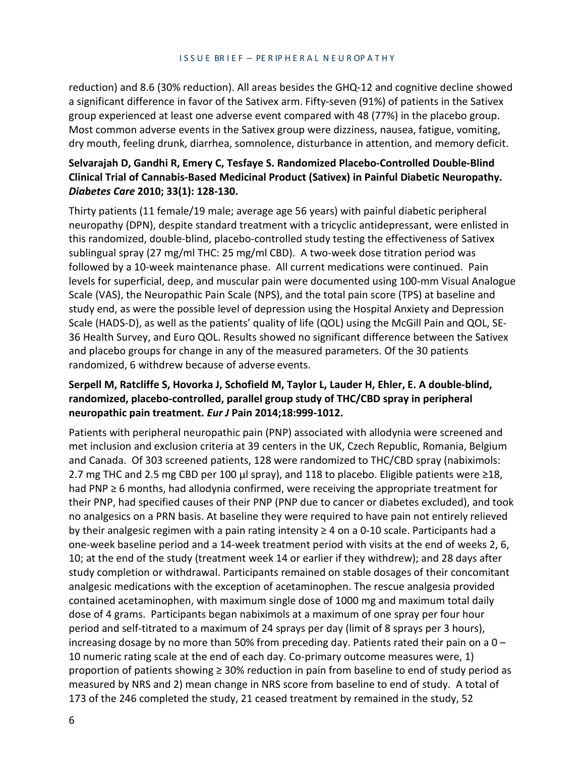reduction) and 8.6 (30% reduction). All areas besides the GHQ-12 and cognitive decline showed a significant difference in favor of the Sativex arm. Fifty-seven (91%) of patients in the Sativex group experienced at least one adverse event compared with 48 (77%) in the placebo group. Most common adverse events in the Sativex group were dizziness, nausea, fatigue, vomiting, dry mouth, feeling drunk, diarrhea, somnolence, disturbance in attention, and memory deficit.

#### **Selvarajah D, Gandhi R, Emery C, Tesfaye S. Randomized Placebo-Controlled Double-Blind Clinical Trial of Cannabis-Based Medicinal Product (Sativex) in Painful Diabetic Neuropathy.**  *Diabetes Care* **2010; 33(1): 128-130.**

Thirty patients (11 female/19 male; average age 56 years) with painful diabetic peripheral neuropathy (DPN), despite standard treatment with a tricyclic antidepressant, were enlisted in this randomized, double-blind, placebo-controlled study testing the effectiveness of Sativex sublingual spray (27 mg/ml THC: 25 mg/ml CBD). A two-week dose titration period was followed by a 10-week maintenance phase. All current medications were continued. Pain levels for superficial, deep, and muscular pain were documented using 100-mm Visual Analogue Scale (VAS), the Neuropathic Pain Scale (NPS), and the total pain score (TPS) at baseline and study end, as were the possible level of depression using the Hospital Anxiety and Depression Scale (HADS-D), as well as the patients' quality of life (QOL) using the McGill Pain and QOL, SE-36 Health Survey, and Euro QOL. Results showed no significant difference between the Sativex and placebo groups for change in any of the measured parameters. Of the 30 patients randomized, 6 withdrew because of adverse events.

#### **Serpell M, Ratcliffe S, Hovorka J, Schofield M, Taylor L, Lauder H, Ehler, E. A double-blind, randomized, placebo-controlled, parallel group study of THC/CBD spray in peripheral neuropathic pain treatment.** *Eur J* **Pain 2014;18:999-1012.**

Patients with peripheral neuropathic pain (PNP) associated with allodynia were screened and met inclusion and exclusion criteria at 39 centers in the UK, Czech Republic, Romania, Belgium and Canada. Of 303 screened patients, 128 were randomized to THC/CBD spray (nabiximols: 2.7 mg THC and 2.5 mg CBD per 100 µl spray), and 118 to placebo. Eligible patients were  $\geq$ 18, had PNP ≥ 6 months, had allodynia confirmed, were receiving the appropriate treatment for their PNP, had specified causes of their PNP (PNP due to cancer or diabetes excluded), and took no analgesics on a PRN basis. At baseline they were required to have pain not entirely relieved by their analgesic regimen with a pain rating intensity ≥ 4 on a 0-10 scale. Participants had a one-week baseline period and a 14-week treatment period with visits at the end of weeks 2, 6, 10; at the end of the study (treatment week 14 or earlier if they withdrew); and 28 days after study completion or withdrawal. Participants remained on stable dosages of their concomitant analgesic medications with the exception of acetaminophen. The rescue analgesia provided contained acetaminophen, with maximum single dose of 1000 mg and maximum total daily dose of 4 grams. Participants began nabiximols at a maximum of one spray per four hour period and self-titrated to a maximum of 24 sprays per day (limit of 8 sprays per 3 hours), increasing dosage by no more than 50% from preceding day. Patients rated their pain on a  $0 -$ 10 numeric rating scale at the end of each day. Co-primary outcome measures were, 1) proportion of patients showing ≥ 30% reduction in pain from baseline to end of study period as measured by NRS and 2) mean change in NRS score from baseline to end of study. A total of 173 of the 246 completed the study, 21 ceased treatment by remained in the study, 52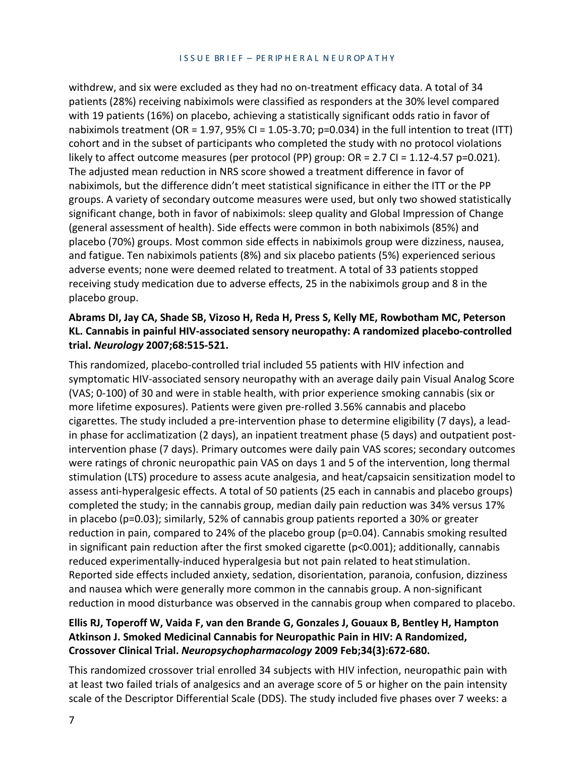withdrew, and six were excluded as they had no on-treatment efficacy data. A total of 34 patients (28%) receiving nabiximols were classified as responders at the 30% level compared with 19 patients (16%) on placebo, achieving a statistically significant odds ratio in favor of nabiximols treatment (OR = 1.97, 95% CI = 1.05-3.70; p=0.034) in the full intention to treat (ITT) cohort and in the subset of participants who completed the study with no protocol violations likely to affect outcome measures (per protocol (PP) group: OR = 2.7 CI = 1.12-4.57 p=0.021). The adjusted mean reduction in NRS score showed a treatment difference in favor of nabiximols, but the difference didn't meet statistical significance in either the ITT or the PP groups. A variety of secondary outcome measures were used, but only two showed statistically significant change, both in favor of nabiximols: sleep quality and Global Impression of Change (general assessment of health). Side effects were common in both nabiximols (85%) and placebo (70%) groups. Most common side effects in nabiximols group were dizziness, nausea, and fatigue. Ten nabiximols patients (8%) and six placebo patients (5%) experienced serious adverse events; none were deemed related to treatment. A total of 33 patients stopped receiving study medication due to adverse effects, 25 in the nabiximols group and 8 in the placebo group.

#### **Abrams DI, Jay CA, Shade SB, Vizoso H, Reda H, Press S, Kelly ME, Rowbotham MC, Peterson KL. Cannabis in painful HIV-associated sensory neuropathy: A randomized placebo-controlled trial.** *Neurology* **2007;68:515-521.**

This randomized, placebo-controlled trial included 55 patients with HIV infection and symptomatic HIV-associated sensory neuropathy with an average daily pain Visual Analog Score (VAS; 0-100) of 30 and were in stable health, with prior experience smoking cannabis (six or more lifetime exposures). Patients were given pre-rolled 3.56% cannabis and placebo cigarettes. The study included a pre-intervention phase to determine eligibility (7 days), a leadin phase for acclimatization (2 days), an inpatient treatment phase (5 days) and outpatient postintervention phase (7 days). Primary outcomes were daily pain VAS scores; secondary outcomes were ratings of chronic neuropathic pain VAS on days 1 and 5 of the intervention, long thermal stimulation (LTS) procedure to assess acute analgesia, and heat/capsaicin sensitization model to assess anti-hyperalgesic effects. A total of 50 patients (25 each in cannabis and placebo groups) completed the study; in the cannabis group, median daily pain reduction was 34% versus 17% in placebo (p=0.03); similarly, 52% of cannabis group patients reported a 30% or greater reduction in pain, compared to 24% of the placebo group (p=0.04). Cannabis smoking resulted in significant pain reduction after the first smoked cigarette (p<0.001); additionally, cannabis reduced experimentally-induced hyperalgesia but not pain related to heat stimulation. Reported side effects included anxiety, sedation, disorientation, paranoia, confusion, dizziness and nausea which were generally more common in the cannabis group. A non-significant reduction in mood disturbance was observed in the cannabis group when compared to placebo.

#### **Ellis RJ, Toperoff W, Vaida F, van den Brande G, Gonzales J, Gouaux B, Bentley H, Hampton Atkinson J. Smoked Medicinal Cannabis for Neuropathic Pain in HIV: A Randomized, Crossover Clinical Trial.** *Neuropsychopharmacology* **2009 Feb;34(3):672-680.**

This randomized crossover trial enrolled 34 subjects with HIV infection, neuropathic pain with at least two failed trials of analgesics and an average score of 5 or higher on the pain intensity scale of the Descriptor Differential Scale (DDS). The study included five phases over 7 weeks: a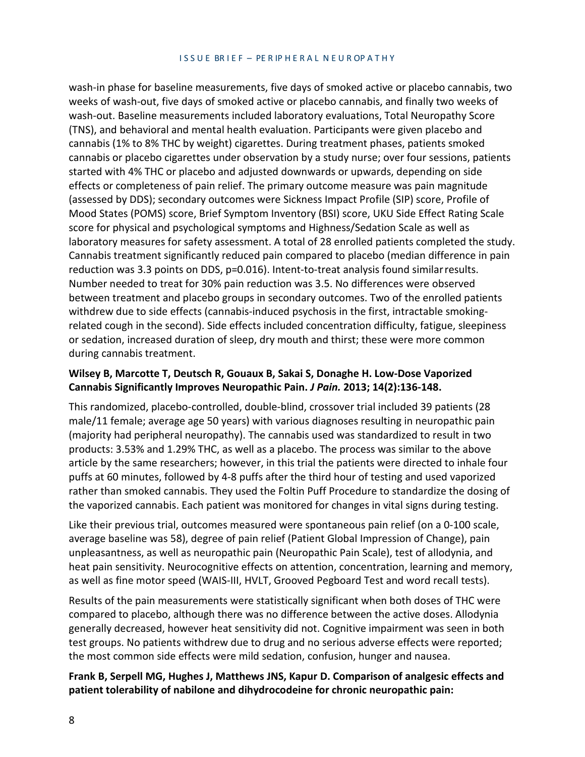wash-in phase for baseline measurements, five days of smoked active or placebo cannabis, two weeks of wash-out, five days of smoked active or placebo cannabis, and finally two weeks of wash-out. Baseline measurements included laboratory evaluations, Total Neuropathy Score (TNS), and behavioral and mental health evaluation. Participants were given placebo and cannabis (1% to 8% THC by weight) cigarettes. During treatment phases, patients smoked cannabis or placebo cigarettes under observation by a study nurse; over four sessions, patients started with 4% THC or placebo and adjusted downwards or upwards, depending on side effects or completeness of pain relief. The primary outcome measure was pain magnitude (assessed by DDS); secondary outcomes were Sickness Impact Profile (SIP) score, Profile of Mood States (POMS) score, Brief Symptom Inventory (BSI) score, UKU Side Effect Rating Scale score for physical and psychological symptoms and Highness/Sedation Scale as well as laboratory measures for safety assessment. A total of 28 enrolled patients completed the study. Cannabis treatment significantly reduced pain compared to placebo (median difference in pain reduction was 3.3 points on DDS, p=0.016). Intent-to-treat analysis found similarresults. Number needed to treat for 30% pain reduction was 3.5. No differences were observed between treatment and placebo groups in secondary outcomes. Two of the enrolled patients withdrew due to side effects (cannabis-induced psychosis in the first, intractable smokingrelated cough in the second). Side effects included concentration difficulty, fatigue, sleepiness or sedation, increased duration of sleep, dry mouth and thirst; these were more common during cannabis treatment.

#### **Wilsey B, Marcotte T, Deutsch R, Gouaux B, Sakai S, Donaghe H. Low-Dose Vaporized Cannabis Significantly Improves Neuropathic Pain.** *J Pain.* **2013; 14(2):136-148.**

This randomized, placebo-controlled, double-blind, crossover trial included 39 patients (28 male/11 female; average age 50 years) with various diagnoses resulting in neuropathic pain (majority had peripheral neuropathy). The cannabis used was standardized to result in two products: 3.53% and 1.29% THC, as well as a placebo. The process was similar to the above article by the same researchers; however, in this trial the patients were directed to inhale four puffs at 60 minutes, followed by 4-8 puffs after the third hour of testing and used vaporized rather than smoked cannabis. They used the Foltin Puff Procedure to standardize the dosing of the vaporized cannabis. Each patient was monitored for changes in vital signs during testing.

Like their previous trial, outcomes measured were spontaneous pain relief (on a 0-100 scale, average baseline was 58), degree of pain relief (Patient Global Impression of Change), pain unpleasantness, as well as neuropathic pain (Neuropathic Pain Scale), test of allodynia, and heat pain sensitivity. Neurocognitive effects on attention, concentration, learning and memory, as well as fine motor speed (WAIS-III, HVLT, Grooved Pegboard Test and word recall tests).

Results of the pain measurements were statistically significant when both doses of THC were compared to placebo, although there was no difference between the active doses. Allodynia generally decreased, however heat sensitivity did not. Cognitive impairment was seen in both test groups. No patients withdrew due to drug and no serious adverse effects were reported; the most common side effects were mild sedation, confusion, hunger and nausea.

#### **Frank B, Serpell MG, Hughes J, Matthews JNS, Kapur D. Comparison of analgesic effects and patient tolerability of nabilone and dihydrocodeine for chronic neuropathic pain:**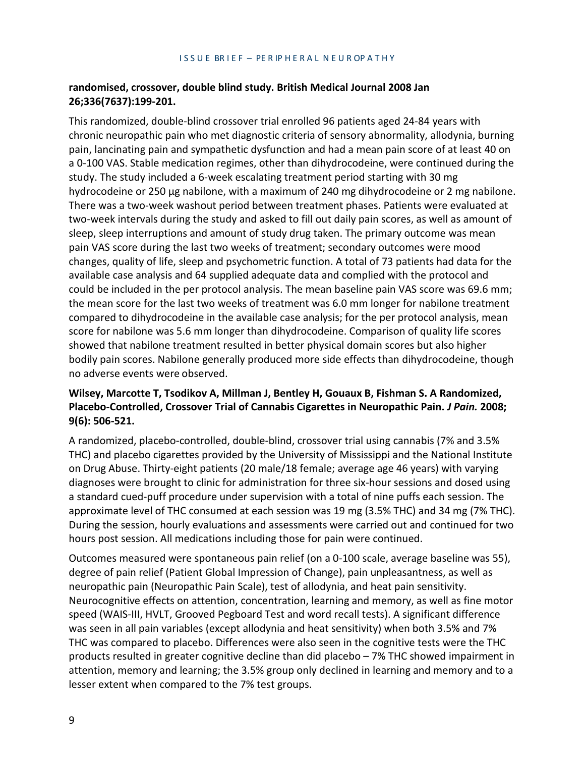#### **randomised, crossover, double blind study. British Medical Journal 2008 Jan 26;336(7637):199-201.**

This randomized, double-blind crossover trial enrolled 96 patients aged 24-84 years with chronic neuropathic pain who met diagnostic criteria of sensory abnormality, allodynia, burning pain, lancinating pain and sympathetic dysfunction and had a mean pain score of at least 40 on a 0-100 VAS. Stable medication regimes, other than dihydrocodeine, were continued during the study. The study included a 6-week escalating treatment period starting with 30 mg hydrocodeine or 250 µg nabilone, with a maximum of 240 mg dihydrocodeine or 2 mg nabilone. There was a two-week washout period between treatment phases. Patients were evaluated at two-week intervals during the study and asked to fill out daily pain scores, as well as amount of sleep, sleep interruptions and amount of study drug taken. The primary outcome was mean pain VAS score during the last two weeks of treatment; secondary outcomes were mood changes, quality of life, sleep and psychometric function. A total of 73 patients had data for the available case analysis and 64 supplied adequate data and complied with the protocol and could be included in the per protocol analysis. The mean baseline pain VAS score was 69.6 mm; the mean score for the last two weeks of treatment was 6.0 mm longer for nabilone treatment compared to dihydrocodeine in the available case analysis; for the per protocol analysis, mean score for nabilone was 5.6 mm longer than dihydrocodeine. Comparison of quality life scores showed that nabilone treatment resulted in better physical domain scores but also higher bodily pain scores. Nabilone generally produced more side effects than dihydrocodeine, though no adverse events were observed.

#### **Wilsey, Marcotte T, Tsodikov A, Millman J, Bentley H, Gouaux B, Fishman S. A Randomized, Placebo-Controlled, Crossover Trial of Cannabis Cigarettes in Neuropathic Pain.** *J Pain.* **2008; 9(6): 506-521.**

A randomized, placebo-controlled, double-blind, crossover trial using cannabis (7% and 3.5% THC) and placebo cigarettes provided by the University of Mississippi and the National Institute on Drug Abuse. Thirty-eight patients (20 male/18 female; average age 46 years) with varying diagnoses were brought to clinic for administration for three six-hour sessions and dosed using a standard cued-puff procedure under supervision with a total of nine puffs each session. The approximate level of THC consumed at each session was 19 mg (3.5% THC) and 34 mg (7% THC). During the session, hourly evaluations and assessments were carried out and continued for two hours post session. All medications including those for pain were continued.

Outcomes measured were spontaneous pain relief (on a 0-100 scale, average baseline was 55), degree of pain relief (Patient Global Impression of Change), pain unpleasantness, as well as neuropathic pain (Neuropathic Pain Scale), test of allodynia, and heat pain sensitivity. Neurocognitive effects on attention, concentration, learning and memory, as well as fine motor speed (WAIS-III, HVLT, Grooved Pegboard Test and word recall tests). A significant difference was seen in all pain variables (except allodynia and heat sensitivity) when both 3.5% and 7% THC was compared to placebo. Differences were also seen in the cognitive tests were the THC products resulted in greater cognitive decline than did placebo – 7% THC showed impairment in attention, memory and learning; the 3.5% group only declined in learning and memory and to a lesser extent when compared to the 7% test groups.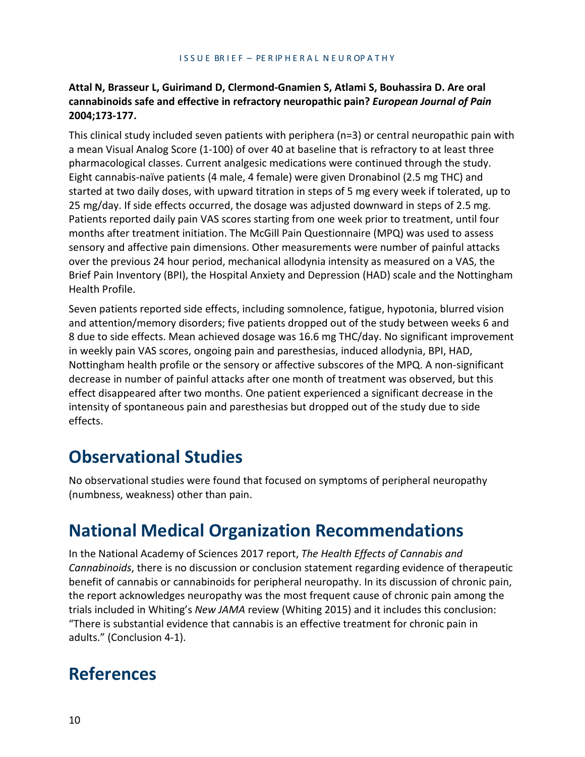#### **Attal N, Brasseur L, Guirimand D, Clermond-Gnamien S, Atlami S, Bouhassira D. Are oral cannabinoids safe and effective in refractory neuropathic pain?** *European Journal of Pain*  **2004;173-177.**

This clinical study included seven patients with periphera (n=3) or central neuropathic pain with a mean Visual Analog Score (1-100) of over 40 at baseline that is refractory to at least three pharmacological classes. Current analgesic medications were continued through the study. Eight cannabis-naïve patients (4 male, 4 female) were given Dronabinol (2.5 mg THC) and started at two daily doses, with upward titration in steps of 5 mg every week if tolerated, up to 25 mg/day. If side effects occurred, the dosage was adjusted downward in steps of 2.5 mg. Patients reported daily pain VAS scores starting from one week prior to treatment, until four months after treatment initiation. The McGill Pain Questionnaire (MPQ) was used to assess sensory and affective pain dimensions. Other measurements were number of painful attacks over the previous 24 hour period, mechanical allodynia intensity as measured on a VAS, the Brief Pain Inventory (BPI), the Hospital Anxiety and Depression (HAD) scale and the Nottingham Health Profile.

Seven patients reported side effects, including somnolence, fatigue, hypotonia, blurred vision and attention/memory disorders; five patients dropped out of the study between weeks 6 and 8 due to side effects. Mean achieved dosage was 16.6 mg THC/day. No significant improvement in weekly pain VAS scores, ongoing pain and paresthesias, induced allodynia, BPI, HAD, Nottingham health profile or the sensory or affective subscores of the MPQ. A non-significant decrease in number of painful attacks after one month of treatment was observed, but this effect disappeared after two months. One patient experienced a significant decrease in the intensity of spontaneous pain and paresthesias but dropped out of the study due to side effects.

### **Observational Studies**

No observational studies were found that focused on symptoms of peripheral neuropathy (numbness, weakness) other than pain.

### **National Medical Organization Recommendations**

In the National Academy of Sciences 2017 report, *The Health Effects of Cannabis and Cannabinoids*, there is no discussion or conclusion statement regarding evidence of therapeutic benefit of cannabis or cannabinoids for peripheral neuropathy. In its discussion of chronic pain, the report acknowledges neuropathy was the most frequent cause of chronic pain among the trials included in Whiting's *New JAMA* review (Whiting 2015) and it includes this conclusion: "There is substantial evidence that cannabis is an effective treatment for chronic pain in adults." (Conclusion 4-1).

### **References**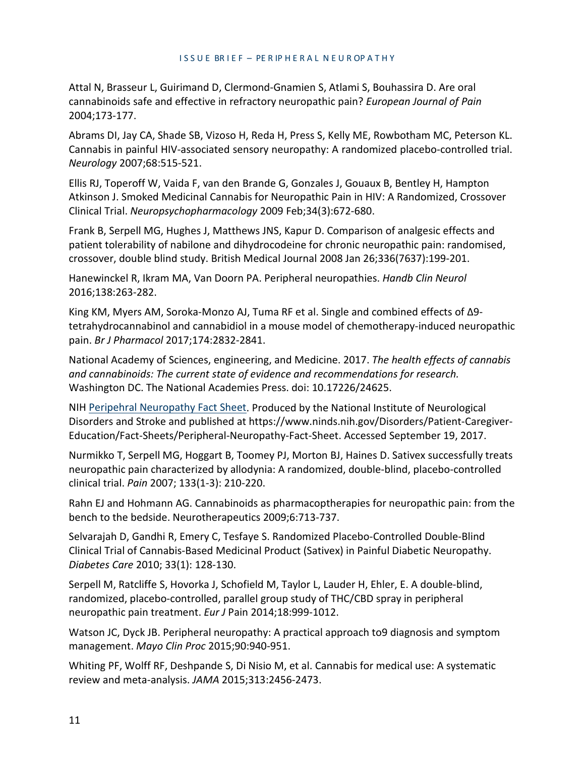Attal N, Brasseur L, Guirimand D, Clermond-Gnamien S, Atlami S, Bouhassira D. Are oral cannabinoids safe and effective in refractory neuropathic pain? *European Journal of Pain*  2004;173-177.

Abrams DI, Jay CA, Shade SB, Vizoso H, Reda H, Press S, Kelly ME, Rowbotham MC, Peterson KL. Cannabis in painful HIV-associated sensory neuropathy: A randomized placebo-controlled trial. *Neurology* 2007;68:515-521.

Ellis RJ, Toperoff W, Vaida F, van den Brande G, Gonzales J, Gouaux B, Bentley H, Hampton Atkinson J. Smoked Medicinal Cannabis for Neuropathic Pain in HIV: A Randomized, Crossover Clinical Trial. *Neuropsychopharmacology* 2009 Feb;34(3):672-680.

Frank B, Serpell MG, Hughes J, Matthews JNS, Kapur D. Comparison of analgesic effects and patient tolerability of nabilone and dihydrocodeine for chronic neuropathic pain: randomised, crossover, double blind study. British Medical Journal 2008 Jan 26;336(7637):199-201.

Hanewinckel R, Ikram MA, Van Doorn PA. Peripheral neuropathies. *Handb Clin Neurol* 2016;138:263-282.

King KM, Myers AM, Soroka-Monzo AJ, Tuma RF et al. Single and combined effects of Δ9 tetrahydrocannabinol and cannabidiol in a mouse model of chemotherapy-induced neuropathic pain. *Br J Pharmacol* 2017;174:2832-2841.

National Academy of Sciences, engineering, and Medicine. 2017. *The health effects of cannabis and cannabinoids: The current state of evidence and recommendations for research.* Washington DC. The National Academies Press. doi: 10.17226/24625.

NIH [Peripehral Neuropathy Fact Sheet.](https://www.ninds.nih.gov/Disorders/Patient-Caregiver-Education/Fact-Sheets/Peripheral-Neuropathy-Fact-Sheet) Produced by the National Institute of Neurological Disorders and Stroke and published at https:/[/www.ninds.nih.gov/Disorders/Patient-Caregiver-](http://www.ninds.nih.gov/Disorders/Patient-Caregiver-)Education/Fact-Sheets/Peripheral-Neuropathy-Fact-Sheet. Accessed September 19, 2017.

Nurmikko T, Serpell MG, Hoggart B, Toomey PJ, Morton BJ, Haines D. Sativex successfully treats neuropathic pain characterized by allodynia: A randomized, double-blind, placebo-controlled clinical trial. *Pain* 2007; 133(1-3): 210-220.

Rahn EJ and Hohmann AG. Cannabinoids as pharmacoptherapies for neuropathic pain: from the bench to the bedside. Neurotherapeutics 2009;6:713-737.

Selvarajah D, Gandhi R, Emery C, Tesfaye S. Randomized Placebo-Controlled Double-Blind Clinical Trial of Cannabis-Based Medicinal Product (Sativex) in Painful Diabetic Neuropathy. *Diabetes Care* 2010; 33(1): 128-130.

Serpell M, Ratcliffe S, Hovorka J, Schofield M, Taylor L, Lauder H, Ehler, E. A double-blind, randomized, placebo-controlled, parallel group study of THC/CBD spray in peripheral neuropathic pain treatment. *Eur J* Pain 2014;18:999-1012.

Watson JC, Dyck JB. Peripheral neuropathy: A practical approach to9 diagnosis and symptom management. *Mayo Clin Proc* 2015;90:940-951.

Whiting PF, Wolff RF, Deshpande S, Di Nisio M, et al. Cannabis for medical use: A systematic review and meta-analysis. *JAMA* 2015;313:2456-2473.